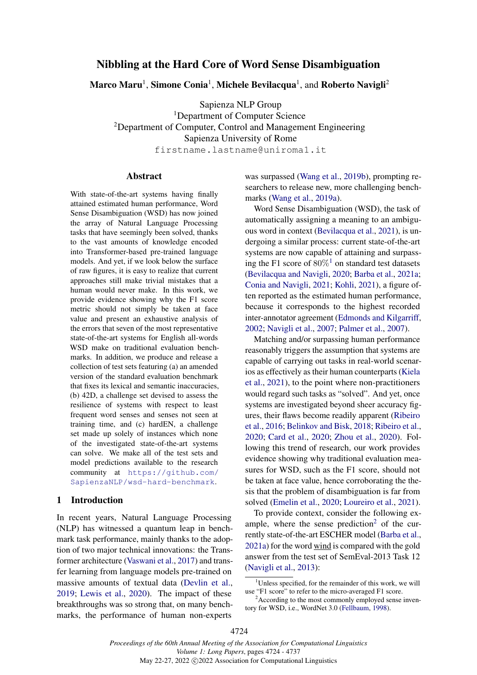# Nibbling at the Hard Core of Word Sense Disambiguation

Marco Maru $^{\rm l}$ , Simone Conia $^{\rm l}$ , Michele Bevilacqua $^{\rm l}$ , and Roberto Navigli $^{\rm 2}$ 

Sapienza NLP Group <sup>1</sup>Department of Computer Science <sup>2</sup>Department of Computer, Control and Management Engineering Sapienza University of Rome firstname.lastname@uniroma1.it

#### Abstract

With state-of-the-art systems having finally attained estimated human performance, Word Sense Disambiguation (WSD) has now joined the array of Natural Language Processing tasks that have seemingly been solved, thanks to the vast amounts of knowledge encoded into Transformer-based pre-trained language models. And yet, if we look below the surface of raw figures, it is easy to realize that current approaches still make trivial mistakes that a human would never make. In this work, we provide evidence showing why the F1 score metric should not simply be taken at face value and present an exhaustive analysis of the errors that seven of the most representative state-of-the-art systems for English all-words WSD make on traditional evaluation benchmarks. In addition, we produce and release a collection of test sets featuring (a) an amended version of the standard evaluation benchmark that fixes its lexical and semantic inaccuracies, (b) 42D, a challenge set devised to assess the resilience of systems with respect to least frequent word senses and senses not seen at training time, and (c) hardEN, a challenge set made up solely of instances which none of the investigated state-of-the-art systems can solve. We make all of the test sets and model predictions available to the research community at [https://github.com/](https://github.com/SapienzaNLP/wsd-hard-benchmark) [SapienzaNLP/wsd-hard-benchmark](https://github.com/SapienzaNLP/wsd-hard-benchmark).

#### 1 Introduction

In recent years, Natural Language Processing (NLP) has witnessed a quantum leap in benchmark task performance, mainly thanks to the adoption of two major technical innovations: the Transformer architecture [\(Vaswani et al.,](#page-12-0) [2017\)](#page-12-0) and transfer learning from language models pre-trained on massive amounts of textual data [\(Devlin et al.,](#page-10-0) [2019;](#page-10-0) [Lewis et al.,](#page-10-1) [2020\)](#page-10-1). The impact of these breakthroughs was so strong that, on many benchmarks, the performance of human non-experts

was surpassed [\(Wang et al.,](#page-12-1) [2019b\)](#page-12-1), prompting researchers to release new, more challenging benchmarks [\(Wang et al.,](#page-12-2) [2019a\)](#page-12-2).

Word Sense Disambiguation (WSD), the task of automatically assigning a meaning to an ambiguous word in context [\(Bevilacqua et al.,](#page-9-0) [2021\)](#page-9-0), is undergoing a similar process: current state-of-the-art systems are now capable of attaining and surpass-ing the F[1](#page-0-0) score of  $80\%$ <sup>1</sup> on standard test datasets [\(Bevilacqua and Navigli,](#page-9-1) [2020;](#page-9-1) [Barba et al.,](#page-9-2) [2021a;](#page-9-2) [Conia and Navigli,](#page-9-3) [2021;](#page-9-3) [Kohli,](#page-10-2) [2021\)](#page-10-2), a figure often reported as the estimated human performance, because it corresponds to the highest recorded inter-annotator agreement [\(Edmonds and Kilgarriff,](#page-10-3) [2002;](#page-10-3) [Navigli et al.,](#page-11-0) [2007;](#page-11-0) [Palmer et al.,](#page-11-1) [2007\)](#page-11-1).

Matching and/or surpassing human performance reasonably triggers the assumption that systems are capable of carrying out tasks in real-world scenarios as effectively as their human counterparts [\(Kiela](#page-10-4) [et al.,](#page-10-4) [2021\)](#page-10-4), to the point where non-practitioners would regard such tasks as "solved". And yet, once systems are investigated beyond sheer accuracy figures, their flaws become readily apparent [\(Ribeiro](#page-12-3) [et al.,](#page-12-3) [2016;](#page-12-3) [Belinkov and Bisk,](#page-9-4) [2018;](#page-9-4) [Ribeiro et al.,](#page-12-4) [2020;](#page-12-4) [Card et al.,](#page-9-5) [2020;](#page-9-5) [Zhou et al.,](#page-12-5) [2020\)](#page-12-5). Following this trend of research, our work provides evidence showing why traditional evaluation measures for WSD, such as the F1 score, should not be taken at face value, hence corroborating the thesis that the problem of disambiguation is far from solved [\(Emelin et al.,](#page-10-5) [2020;](#page-10-5) [Loureiro et al.,](#page-10-6) [2021\)](#page-10-6).

To provide context, consider the following ex-ample, where the sense prediction<sup>[2](#page-0-1)</sup> of the currently state-of-the-art ESCHER model [\(Barba et al.,](#page-9-2) [2021a\)](#page-9-2) for the word wind is compared with the gold answer from the test set of SemEval-2013 Task 12 [\(Navigli et al.,](#page-11-2) [2013\)](#page-11-2):

<span id="page-0-0"></span> $1$ Unless specified, for the remainder of this work, we will use "F1 score" to refer to the micro-averaged F1 score.

<span id="page-0-1"></span><sup>&</sup>lt;sup>2</sup> According to the most commonly employed sense inventory for WSD, i.e., WordNet 3.0 [\(Fellbaum,](#page-10-7) [1998\)](#page-10-7).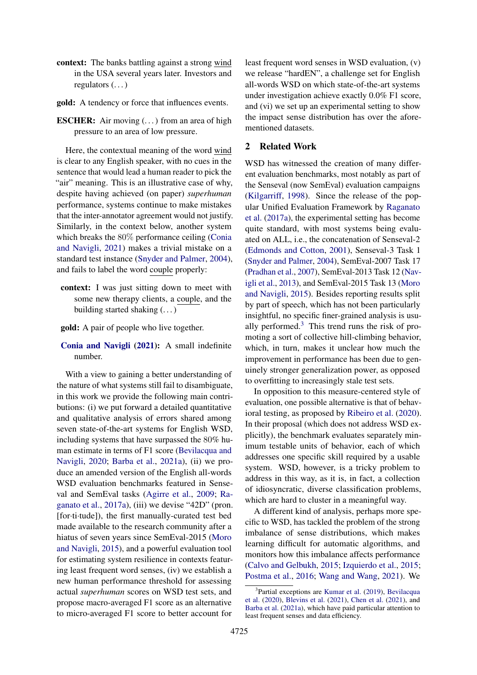- context: The banks battling against a strong wind in the USA several years later. Investors and regulators (. . . )
- gold: A tendency or force that influences events.
- **ESCHER:** Air moving  $(\ldots)$  from an area of high pressure to an area of low pressure.

Here, the contextual meaning of the word wind is clear to any English speaker, with no cues in the sentence that would lead a human reader to pick the "air" meaning. This is an illustrative case of why, despite having achieved (on paper) *superhuman* performance, systems continue to make mistakes that the inter-annotator agreement would not justify. Similarly, in the context below, another system which breaks the 80% performance ceiling [\(Conia](#page-9-3) [and Navigli,](#page-9-3) [2021\)](#page-9-3) makes a trivial mistake on a standard test instance [\(Snyder and Palmer,](#page-12-6) [2004\)](#page-12-6), and fails to label the word couple properly:

- context: I was just sitting down to meet with some new therapy clients, a couple, and the building started shaking (. . . )
- gold: A pair of people who live together.
- [Conia and Navigli](#page-9-3) [\(2021\)](#page-9-3): A small indefinite number.

With a view to gaining a better understanding of the nature of what systems still fail to disambiguate, in this work we provide the following main contributions: (i) we put forward a detailed quantitative and qualitative analysis of errors shared among seven state-of-the-art systems for English WSD, including systems that have surpassed the 80% human estimate in terms of F1 score [\(Bevilacqua and](#page-9-1) [Navigli,](#page-9-1) [2020;](#page-9-1) [Barba et al.,](#page-9-2) [2021a\)](#page-9-2), (ii) we produce an amended version of the English all-words WSD evaluation benchmarks featured in Senseval and SemEval tasks [\(Agirre et al.,](#page-8-0) [2009;](#page-8-0) [Ra](#page-11-3)[ganato et al.,](#page-11-3) [2017a\)](#page-11-3), (iii) we devise "42D" (pron. [for·ti·tude]), the first manually-curated test bed made available to the research community after a hiatus of seven years since SemEval-2015 [\(Moro](#page-11-4) [and Navigli,](#page-11-4) [2015\)](#page-11-4), and a powerful evaluation tool for estimating system resilience in contexts featuring least frequent word senses, (iv) we establish a new human performance threshold for assessing actual *superhuman* scores on WSD test sets, and propose macro-averaged F1 score as an alternative to micro-averaged F1 score to better account for

least frequent word senses in WSD evaluation, (v) we release "hardEN", a challenge set for English all-words WSD on which state-of-the-art systems under investigation achieve exactly 0.0% F1 score, and (vi) we set up an experimental setting to show the impact sense distribution has over the aforementioned datasets.

## 2 Related Work

WSD has witnessed the creation of many different evaluation benchmarks, most notably as part of the Senseval (now SemEval) evaluation campaigns [\(Kilgarriff,](#page-10-8) [1998\)](#page-10-8). Since the release of the popular Unified Evaluation Framework by [Raganato](#page-11-3) [et al.](#page-11-3) [\(2017a\)](#page-11-3), the experimental setting has become quite standard, with most systems being evaluated on ALL, i.e., the concatenation of Senseval-2 [\(Edmonds and Cotton,](#page-10-9) [2001\)](#page-10-9), Senseval-3 Task 1 [\(Snyder and Palmer,](#page-12-6) [2004\)](#page-12-6), SemEval-2007 Task 17 [\(Pradhan et al.,](#page-11-5) [2007\)](#page-11-5), SemEval-2013 Task 12 [\(Nav](#page-11-2)[igli et al.,](#page-11-2) [2013\)](#page-11-2), and SemEval-2015 Task 13 [\(Moro](#page-11-4) [and Navigli,](#page-11-4) [2015\)](#page-11-4). Besides reporting results split by part of speech, which has not been particularly insightful, no specific finer-grained analysis is usually performed. $3$  This trend runs the risk of promoting a sort of collective hill-climbing behavior, which, in turn, makes it unclear how much the improvement in performance has been due to genuinely stronger generalization power, as opposed to overfitting to increasingly stale test sets.

In opposition to this measure-centered style of evaluation, one possible alternative is that of behavioral testing, as proposed by [Ribeiro et al.](#page-12-4) [\(2020\)](#page-12-4). In their proposal (which does not address WSD explicitly), the benchmark evaluates separately minimum testable units of behavior, each of which addresses one specific skill required by a usable system. WSD, however, is a tricky problem to address in this way, as it is, in fact, a collection of idiosyncratic, diverse classification problems, which are hard to cluster in a meaningful way.

A different kind of analysis, perhaps more specific to WSD, has tackled the problem of the strong imbalance of sense distributions, which makes learning difficult for automatic algorithms, and monitors how this imbalance affects performance [\(Calvo and Gelbukh,](#page-9-6) [2015;](#page-9-6) [Izquierdo et al.,](#page-10-10) [2015;](#page-10-10) [Postma et al.,](#page-11-6) [2016;](#page-11-6) [Wang and Wang,](#page-12-7) [2021\)](#page-12-7). We

<span id="page-1-0"></span><sup>3</sup> Partial exceptions are [Kumar et al.](#page-10-11) [\(2019\)](#page-10-11), [Bevilacqua](#page-9-7) [et al.](#page-9-7) [\(2020\)](#page-9-7), [Blevins et al.](#page-9-8) [\(2021\)](#page-9-8), [Chen et al.](#page-9-9) [\(2021\)](#page-9-9), and [Barba et al.](#page-9-2) [\(2021a\)](#page-9-2), which have paid particular attention to least frequent senses and data efficiency.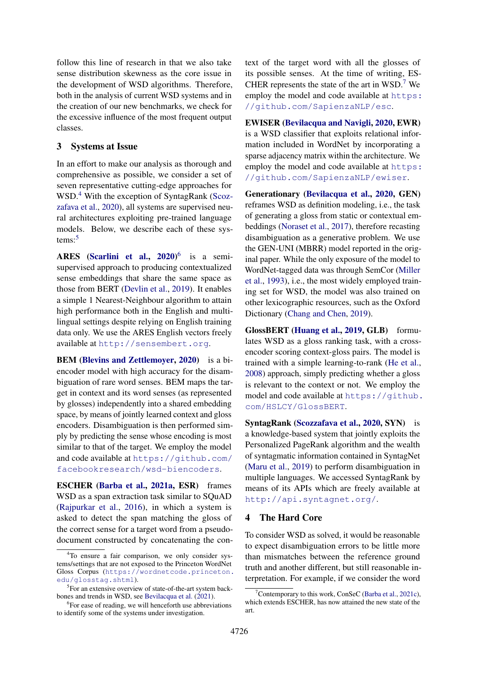follow this line of research in that we also take sense distribution skewness as the core issue in the development of WSD algorithms. Therefore, both in the analysis of current WSD systems and in the creation of our new benchmarks, we check for the excessive influence of the most frequent output classes.

### <span id="page-2-4"></span>3 Systems at Issue

In an effort to make our analysis as thorough and comprehensive as possible, we consider a set of seven representative cutting-edge approaches for WSD.[4](#page-2-0) With the exception of SyntagRank [\(Scoz](#page-12-8)[zafava et al.,](#page-12-8) [2020\)](#page-12-8), all systems are supervised neural architectures exploiting pre-trained language models. Below, we describe each of these sys-tems:<sup>[5](#page-2-1)</sup>

ARES [\(Scarlini et al.,](#page-12-9) [2020\)](#page-12-9)<sup>[6](#page-2-2)</sup> is a semisupervised approach to producing contextualized sense embeddings that share the same space as those from BERT [\(Devlin et al.,](#page-10-0) [2019\)](#page-10-0). It enables a simple 1 Nearest-Neighbour algorithm to attain high performance both in the English and multilingual settings despite relying on English training data only. We use the ARES English vectors freely available at <http://sensembert.org>.

BEM [\(Blevins and Zettlemoyer,](#page-9-10) [2020\)](#page-9-10) is a biencoder model with high accuracy for the disambiguation of rare word senses. BEM maps the target in context and its word senses (as represented by glosses) independently into a shared embedding space, by means of jointly learned context and gloss encoders. Disambiguation is then performed simply by predicting the sense whose encoding is most similar to that of the target. We employ the model and code available at [https://github.com/](https://github.com/facebookresearch/wsd-biencoders) [facebookresearch/wsd-biencoders](https://github.com/facebookresearch/wsd-biencoders).

ESCHER [\(Barba et al.,](#page-9-2) [2021a,](#page-9-2) ESR) frames WSD as a span extraction task similar to SOuAD [\(Rajpurkar et al.,](#page-11-7) [2016\)](#page-11-7), in which a system is asked to detect the span matching the gloss of the correct sense for a target word from a pseudodocument constructed by concatenating the context of the target word with all the glosses of its possible senses. At the time of writing, ES-CHER represents the state of the art in  $WSD.<sup>7</sup>$  $WSD.<sup>7</sup>$  $WSD.<sup>7</sup>$  We employ the model and code available at [https:](https://github.com/SapienzaNLP/esc) [//github.com/SapienzaNLP/esc](https://github.com/SapienzaNLP/esc).

EWISER [\(Bevilacqua and Navigli,](#page-9-1) [2020,](#page-9-1) EWR) is a WSD classifier that exploits relational information included in WordNet by incorporating a sparse adjacency matrix within the architecture. We employ the model and code available at [https:](https://github.com/SapienzaNLP/ewiser) [//github.com/SapienzaNLP/ewiser](https://github.com/SapienzaNLP/ewiser).

Generationary [\(Bevilacqua et al.,](#page-9-7) [2020,](#page-9-7) GEN) reframes WSD as definition modeling, i.e., the task of generating a gloss from static or contextual embeddings [\(Noraset et al.,](#page-11-8) [2017\)](#page-11-8), therefore recasting disambiguation as a generative problem. We use the GEN-UNI (MBRR) model reported in the original paper. While the only exposure of the model to WordNet-tagged data was through SemCor [\(Miller](#page-11-9) [et al.,](#page-11-9) [1993\)](#page-11-9), i.e., the most widely employed training set for WSD, the model was also trained on other lexicographic resources, such as the Oxford Dictionary [\(Chang and Chen,](#page-9-11) [2019\)](#page-9-11).

GlossBERT [\(Huang et al.,](#page-10-12) [2019,](#page-10-12) GLB) formulates WSD as a gloss ranking task, with a crossencoder scoring context-gloss pairs. The model is trained with a simple learning-to-rank [\(He et al.,](#page-10-13) [2008\)](#page-10-13) approach, simply predicting whether a gloss is relevant to the context or not. We employ the model and code available at [https://github.](https://github.com/HSLCY/GlossBERT) [com/HSLCY/GlossBERT](https://github.com/HSLCY/GlossBERT).

SyntagRank [\(Scozzafava et al.,](#page-12-8) [2020,](#page-12-8) SYN) is a knowledge-based system that jointly exploits the Personalized PageRank algorithm and the wealth of syntagmatic information contained in SyntagNet [\(Maru et al.,](#page-11-10) [2019\)](#page-11-10) to perform disambiguation in multiple languages. We accessed SyntagRank by means of its APIs which are freely available at <http://api.syntagnet.org/>.

# 4 The Hard Core

To consider WSD as solved, it would be reasonable to expect disambiguation errors to be little more than mismatches between the reference ground truth and another different, but still reasonable interpretation. For example, if we consider the word

<span id="page-2-0"></span><sup>&</sup>lt;sup>4</sup>To ensure a fair comparison, we only consider systems/settings that are not exposed to the Princeton WordNet Gloss Corpus ([https://wordnetcode.princeton.](https://wordnetcode.princeton.edu/glosstag.shtml) [edu/glosstag.shtml](https://wordnetcode.princeton.edu/glosstag.shtml)).

<span id="page-2-1"></span><sup>&</sup>lt;sup>5</sup>For an extensive overview of state-of-the-art system backbones and trends in WSD, see [Bevilacqua et al.](#page-9-0) [\(2021\)](#page-9-0).

<span id="page-2-2"></span><sup>&</sup>lt;sup>6</sup>For ease of reading, we will henceforth use abbreviations to identify some of the systems under investigation.

<span id="page-2-3"></span>Contemporary to this work, ConSeC [\(Barba et al.,](#page-9-12) [2021c\)](#page-9-12), which extends ESCHER, has now attained the new state of the art.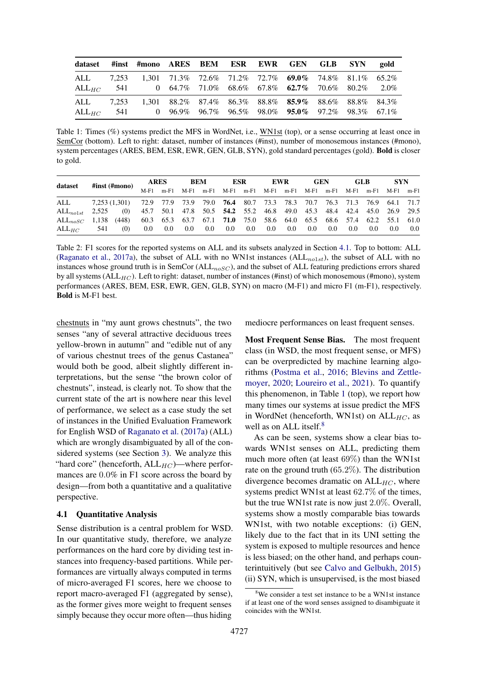<span id="page-3-1"></span>

| dataset #inst #mono ARES BEM ESR EWR GEN GLB SYN gold                          |  |  |  |  |  |
|--------------------------------------------------------------------------------|--|--|--|--|--|
| ALL 7,253 1,301 71.3% 72.6% 71.2% 72.7% 69.0% 74.8% 81.1% 65.2%                |  |  |  |  |  |
| ALL <sub>HC</sub> 541 0 64.7% 71.0% 68.6% 67.8% <b>62.7</b> % 70.6% 80.2% 2.0% |  |  |  |  |  |
| ALL 7,253 1,301 88.2% 87.4% 86.3% 88.8% 85.9% 88.6% 88.8% 84.3%                |  |  |  |  |  |
| ALL <sub>HC</sub> 541 0 96.9% 96.7% 96.5% 98.0% <b>95.0%</b> 97.2% 98.3% 67.1% |  |  |  |  |  |

Table 1: Times (%) systems predict the MFS in WordNet, i.e., WN1st (top), or a sense occurring at least once in SemCor (bottom). Left to right: dataset, number of instances (#inst), number of monosemous instances (#mono), system percentages (ARES, BEM, ESR, EWR, GEN, GLB, SYN), gold standard percentages (gold). Bold is closer to gold.

<span id="page-3-3"></span>

|                     | #inst (#mono)                                                                              |     | <b>ARES</b> |  | <b>BEM</b>      |         | ESR     |         | <b>EWR</b> |     | <b>GEN</b>                                                                   |         | GLB.    |         | <b>SYN</b> |     |
|---------------------|--------------------------------------------------------------------------------------------|-----|-------------|--|-----------------|---------|---------|---------|------------|-----|------------------------------------------------------------------------------|---------|---------|---------|------------|-----|
| dataset             |                                                                                            |     | $M-F1$      |  |                 |         |         |         |            |     | m-F1 M-F1 m-F1 M-F1 m-F1 M-F1 m-F1 M-F1 m-F1 M-F1 m-F1 M-F1 m-F1 m-F1        |         |         |         |            |     |
| ALL                 | 7,253 (1,301) 72.9 77.9 73.9 79.0 <b>76.4</b> 80.7 73.3 78.3 70.7 76.3 71.3 76.9 64.1 71.7 |     |             |  |                 |         |         |         |            |     |                                                                              |         |         |         |            |     |
| $ALL_{nolst}$ 2,525 |                                                                                            | (0) |             |  |                 |         |         |         |            |     | 45.7 50.1 47.8 50.5 54.2 55.2 46.8 49.0 45.3 48.4 42.4 45.0 26.9 29.5        |         |         |         |            |     |
| $ALL_{noSC}$        | 1,138 (448)                                                                                |     |             |  |                 |         |         |         |            |     | 60.3 65.3 63.7 67.1 <b>71.0</b> 75.0 58.6 64.0 65.5 68.6 57.4 62.2 55.1 61.0 |         |         |         |            |     |
| $ALL_{HC}$          | 541                                                                                        | (0) | 0.0         |  | $0.0\qquad 0.0$ | $0.0\,$ | $0.0\,$ | $0.0\,$ | 0.0        | 0.0 | 0.0                                                                          | $0.0\,$ | $0.0\,$ | $0.0\,$ | 0.0        | 0.0 |

Table 2: F1 scores for the reported systems on ALL and its subsets analyzed in Section [4.1.](#page-3-0) Top to bottom: ALL [\(Raganato et al.,](#page-11-3) [2017a\)](#page-11-3), the subset of ALL with no WN1st instances  $(ALL_{no1st})$ , the subset of ALL with no instances whose ground truth is in SemCor ( $ALL_{noSC}$ ), and the subset of ALL featuring predictions errors shared by all systems (ALL<sub>HC</sub>). Left to right: dataset, number of instances (#inst) of which monosemous (#mono), system performances (ARES, BEM, ESR, EWR, GEN, GLB, SYN) on macro (M-F1) and micro F1 (m-F1), respectively. Bold is M-F1 best.

chestnuts in "my aunt grows chestnuts", the two senses "any of several attractive deciduous trees yellow-brown in autumn" and "edible nut of any of various chestnut trees of the genus Castanea" would both be good, albeit slightly different interpretations, but the sense "the brown color of chestnuts", instead, is clearly not. To show that the current state of the art is nowhere near this level of performance, we select as a case study the set of instances in the Unified Evaluation Framework for English WSD of [Raganato et al.](#page-11-3) [\(2017a\)](#page-11-3) (ALL) which are wrongly disambiguated by all of the considered systems (see Section [3\)](#page-2-4). We analyze this "hard core" (henceforth,  $ALL_{HC}$ )—where performances are 0.0% in F1 score across the board by design—from both a quantitative and a qualitative perspective.

### <span id="page-3-0"></span>4.1 Quantitative Analysis

Sense distribution is a central problem for WSD. In our quantitative study, therefore, we analyze performances on the hard core by dividing test instances into frequency-based partitions. While performances are virtually always computed in terms of micro-averaged F1 scores, here we choose to report macro-averaged F1 (aggregated by sense), as the former gives more weight to frequent senses simply because they occur more often—thus hiding

mediocre performances on least frequent senses.

Most Frequent Sense Bias. The most frequent class (in WSD, the most frequent sense, or MFS) can be overpredicted by machine learning algorithms [\(Postma et al.,](#page-11-6) [2016;](#page-11-6) [Blevins and Zettle](#page-9-10)[moyer,](#page-9-10) [2020;](#page-9-10) [Loureiro et al.,](#page-10-6) [2021\)](#page-10-6). To quantify this phenomenon, in Table [1](#page-3-1) (top), we report how many times our systems at issue predict the MFS in WordNet (henceforth, WN1st) on  $ALL_{HC}$ , as well as on ALL itself.<sup>[8](#page-3-2)</sup>

As can be seen, systems show a clear bias towards WN1st senses on ALL, predicting them much more often (at least 69%) than the WN1st rate on the ground truth (65.2%). The distribution divergence becomes dramatic on  $ALL_{HC}$ , where systems predict WN1st at least 62.7% of the times, but the true WN1st rate is now just 2.0%. Overall, systems show a mostly comparable bias towards WN1st, with two notable exceptions: (i) GEN, likely due to the fact that in its UNI setting the system is exposed to multiple resources and hence is less biased; on the other hand, and perhaps counterintuitively (but see [Calvo and Gelbukh,](#page-9-6) [2015\)](#page-9-6) (ii) SYN, which is unsupervised, is the most biased

<span id="page-3-2"></span> $8$ We consider a test set instance to be a WN1st instance if at least one of the word senses assigned to disambiguate it coincides with the WN1st.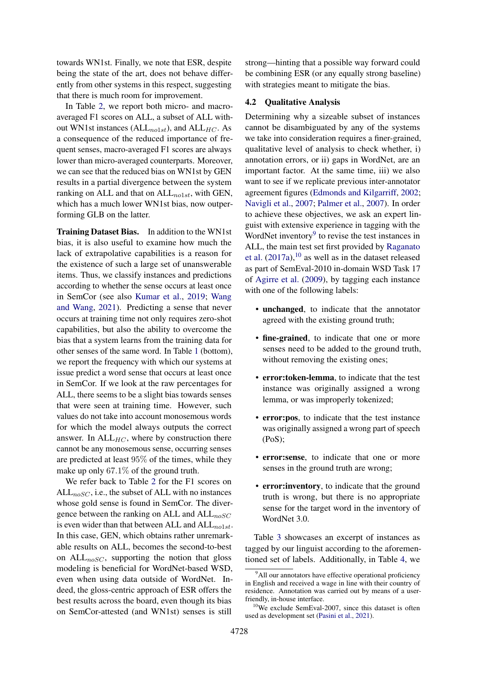towards WN1st. Finally, we note that ESR, despite being the state of the art, does not behave differently from other systems in this respect, suggesting that there is much room for improvement.

In Table [2,](#page-3-3) we report both micro- and macroaveraged F1 scores on ALL, a subset of ALL without WN1st instances ( $ALL_{no1st}$ ), and  $ALL_{HC}$ . As a consequence of the reduced importance of frequent senses, macro-averaged F1 scores are always lower than micro-averaged counterparts. Moreover, we can see that the reduced bias on WN1st by GEN results in a partial divergence between the system ranking on ALL and that on  $ALL_{no1st}$ , with GEN, which has a much lower WN1st bias, now outperforming GLB on the latter.

Training Dataset Bias. In addition to the WN1st bias, it is also useful to examine how much the lack of extrapolative capabilities is a reason for the existence of such a large set of unanswerable items. Thus, we classify instances and predictions according to whether the sense occurs at least once in SemCor (see also [Kumar et al.,](#page-10-11) [2019;](#page-10-11) [Wang](#page-12-7) [and Wang,](#page-12-7) [2021\)](#page-12-7). Predicting a sense that never occurs at training time not only requires zero-shot capabilities, but also the ability to overcome the bias that a system learns from the training data for other senses of the same word. In Table [1](#page-3-1) (bottom), we report the frequency with which our systems at issue predict a word sense that occurs at least once in SemCor. If we look at the raw percentages for ALL, there seems to be a slight bias towards senses that were seen at training time. However, such values do not take into account monosemous words for which the model always outputs the correct answer. In  $ALL_{HC}$ , where by construction there cannot be any monosemous sense, occurring senses are predicted at least 95% of the times, while they make up only 67.1% of the ground truth.

We refer back to Table [2](#page-3-3) for the F1 scores on  $ALL_{noSC}$ , i.e., the subset of ALL with no instances whose gold sense is found in SemCor. The divergence between the ranking on ALL and  $ALL_{noSC}$ is even wider than that between ALL and  $ALL_{no1st}$ . In this case, GEN, which obtains rather unremarkable results on ALL, becomes the second-to-best on  $ALL_{noSC}$ , supporting the notion that gloss modeling is beneficial for WordNet-based WSD, even when using data outside of WordNet. Indeed, the gloss-centric approach of ESR offers the best results across the board, even though its bias on SemCor-attested (and WN1st) senses is still

strong—hinting that a possible way forward could be combining ESR (or any equally strong baseline) with strategies meant to mitigate the bias.

## <span id="page-4-2"></span>4.2 Qualitative Analysis

Determining why a sizeable subset of instances cannot be disambiguated by any of the systems we take into consideration requires a finer-grained, qualitative level of analysis to check whether, i) annotation errors, or ii) gaps in WordNet, are an important factor. At the same time, iii) we also want to see if we replicate previous inter-annotator agreement figures [\(Edmonds and Kilgarriff,](#page-10-3) [2002;](#page-10-3) [Navigli et al.,](#page-11-0) [2007;](#page-11-0) [Palmer et al.,](#page-11-1) [2007\)](#page-11-1). In order to achieve these objectives, we ask an expert linguist with extensive experience in tagging with the WordNet inventory $9$  to revise the test instances in ALL, the main test set first provided by [Raganato](#page-11-3) [et al.](#page-11-3)  $(2017a)$ ,<sup>[10](#page-4-1)</sup> as well as in the dataset released as part of SemEval-2010 in-domain WSD Task 17 of [Agirre et al.](#page-8-0) [\(2009\)](#page-8-0), by tagging each instance with one of the following labels:

- unchanged, to indicate that the annotator agreed with the existing ground truth;
- fine-grained, to indicate that one or more senses need to be added to the ground truth, without removing the existing ones;
- error:token-lemma, to indicate that the test instance was originally assigned a wrong lemma, or was improperly tokenized;
- error:pos, to indicate that the test instance was originally assigned a wrong part of speech (PoS);
- error:sense, to indicate that one or more senses in the ground truth are wrong;
- error:inventory, to indicate that the ground truth is wrong, but there is no appropriate sense for the target word in the inventory of WordNet 3.0.

Table [3](#page-5-0) showcases an excerpt of instances as tagged by our linguist according to the aforementioned set of labels. Additionally, in Table [4,](#page-5-1) we

<span id="page-4-0"></span><sup>&</sup>lt;sup>9</sup>All our annotators have effective operational proficiency in English and received a wage in line with their country of residence. Annotation was carried out by means of a userfriendly, in-house interface.

<span id="page-4-1"></span> $10$ We exclude SemEval-2007, since this dataset is often used as development set [\(Pasini et al.,](#page-11-11) [2021\)](#page-11-11).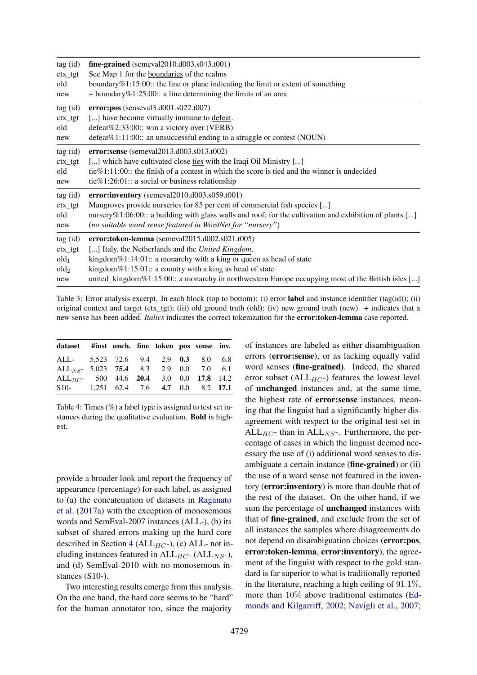<span id="page-5-0"></span>

| tag (id)         | $fine-grained$ (semeval2010.d003.s043.t001)                                                             |
|------------------|---------------------------------------------------------------------------------------------------------|
| $ctx_tgt$        | See Map 1 for the boundaries of the realms                                                              |
| old              | boundary $%1:15:00$ : the line or plane indicating the limit or extent of something                     |
| new              | $+$ boundary %1:25:00:: a line determining the limits of an area                                        |
| tag (id)         | $error: pos$ (senseval3.d001.s022.t007)                                                                 |
| $ctx_tgt$        | [] have become virtually immune to defeat.                                                              |
| old              | defeat%2:33:00:: win a victory over (VERB)                                                              |
| new              | $\text{defeat}\%1:11:00::$ an unsuccessful ending to a struggle or contest (NOUN)                       |
| tag (id)         | error:sense (semeval2013.d003.s013.t002)                                                                |
| $ctx_tgt$        | [] which have cultivated close ties with the Iraqi Oil Ministry []                                      |
| old              | tie $\%$ 1:11:00:: the finish of a contest in which the score is tied and the winner is undecided       |
| new              | tie%1:26:01:: a social or business relationship                                                         |
| tag (id)         | error:inventory (semeval2010.d003.s059.t001)                                                            |
| ctx_tgt          | Mangroves provide nurseries for 85 per cent of commercial fish species []                               |
| old              | nursery%1:06:00:: a building with glass walls and roof; for the cultivation and exhibition of plants [] |
| new              | (no suitable word sense featured in WordNet for "nursery")                                              |
| tag (id)         | error:token-lemma (semeval2015.d002.s021.t005)                                                          |
| $ctx_tgt$        | [] Italy, the Netherlands and the United Kingdom.                                                       |
| old <sub>1</sub> | kingdom $%1:14:01::$ a monarchy with a king or queen as head of state                                   |
| old <sub>2</sub> | kingdom $%1:15:01::$ a country with a king as head of state                                             |
| new              | united_kingdom%1:15:00:: a monarchy in northwestern Europe occupying most of the British isles []       |

Table 3: Error analysis excerpt. In each block (top to bottom): (i) error **label** and instance identifier (tag(id)); (ii) original context and target (ctx\_tgt); (iii) old ground truth (old); (iv) new ground truth (new). + indicates that a new sense has been added. *Italics* indicates the correct tokenization for the error:token-lemma case reported.

<span id="page-5-1"></span>

| dataset #inst unch. fine token pos sense inv.                   |  |  |  |  |
|-----------------------------------------------------------------|--|--|--|--|
| ALL- 5.523 72.6 9.4 2.9 0.3 8.0 6.8                             |  |  |  |  |
| ALL <sub>NS</sub> - 5,023 75.4 8.3 2.9 0.0 7.0 6.1              |  |  |  |  |
| ALL <sub>HC</sub> - 500 44.6 20.4 3.0 0.0 17.8 14.2             |  |  |  |  |
| S <sub>10</sub> - 1,251 62.4 7.6 <b>4.7</b> 0.0 8.2 <b>17.1</b> |  |  |  |  |

Table 4: Times (%) a label type is assigned to test set instances during the qualitative evaluation. Bold is highest.

provide a broader look and report the frequency of appearance (percentage) for each label, as assigned to (a) the concatenation of datasets in [Raganato](#page-11-3) [et al.](#page-11-3) [\(2017a\)](#page-11-3) with the exception of monosemous words and SemEval-2007 instances (ALL-), (b) its subset of shared errors making up the hard core described in Section [4](#page-3-3) (ALL $_{HC}$ -), (c) ALL- not including instances featured in  $ALL_{HC}$ - ( $ALL_{NS}$ -), and (d) SemEval-2010 with no monosemous instances (S10-).

Two interesting results emerge from this analysis. On the one hand, the hard core seems to be "hard" for the human annotator too, since the majority

of instances are labeled as either disambiguation errors (error:sense), or as lacking equally valid word senses (fine-grained). Indeed, the shared error subset ( $ALL_{HC}$ -) features the lowest level of unchanged instances and, at the same time, the highest rate of error:sense instances, meaning that the linguist had a significantly higher disagreement with respect to the original test set in ALL<sub>HC</sub>- than in ALL<sub>NS</sub>-. Furthermore, the percentage of cases in which the linguist deemed necessary the use of (i) additional word senses to disambiguate a certain instance (fine-grained) or (ii) the use of a word sense not featured in the inventory (error:inventory) is more than double that of the rest of the dataset. On the other hand, if we sum the percentage of unchanged instances with that of fine-grained, and exclude from the set of all instances the samples where disagreements do not depend on disambiguation choices (error:pos, error:token-lemma, error:inventory), the agreement of the linguist with respect to the gold standard is far superior to what is traditionally reported in the literature, reaching a high ceiling of  $91.1\%$ , more than 10% above traditional estimates [\(Ed](#page-10-3)[monds and Kilgarriff,](#page-10-3) [2002;](#page-10-3) [Navigli et al.,](#page-11-0) [2007;](#page-11-0)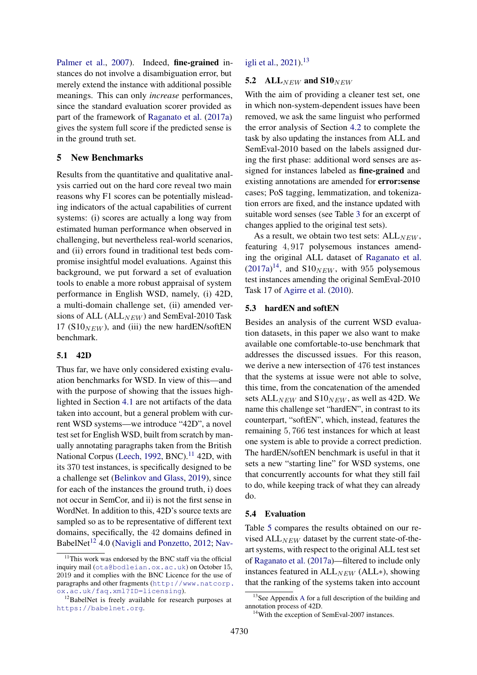[Palmer et al.,](#page-11-1) [2007\)](#page-11-1). Indeed, **fine-grained** instances do not involve a disambiguation error, but merely extend the instance with additional possible meanings. This can only *increase* performances, since the standard evaluation scorer provided as part of the framework of [Raganato et al.](#page-11-3) [\(2017a\)](#page-11-3) gives the system full score if the predicted sense is in the ground truth set.

### <span id="page-6-4"></span>5 New Benchmarks

Results from the quantitative and qualitative analysis carried out on the hard core reveal two main reasons why F1 scores can be potentially misleading indicators of the actual capabilities of current systems: (i) scores are actually a long way from estimated human performance when observed in challenging, but nevertheless real-world scenarios, and (ii) errors found in traditional test beds compromise insightful model evaluations. Against this background, we put forward a set of evaluation tools to enable a more robust appraisal of system performance in English WSD, namely, (i) 42D, a multi-domain challenge set, (ii) amended versions of ALL ( $ALL_{NEW}$ ) and SemEval-2010 Task 17 ( $S10_{NEW}$ ), and (iii) the new hardEN/softEN benchmark.

### 5.1 42D

Thus far, we have only considered existing evaluation benchmarks for WSD. In view of this—and with the purpose of showing that the issues highlighted in Section [4.1](#page-3-0) are not artifacts of the data taken into account, but a general problem with current WSD systems—we introduce "42D", a novel test set for English WSD, built from scratch by manually annotating paragraphs taken from the British National Corpus [\(Leech,](#page-10-14) [1992,](#page-10-14) BNC).<sup>[11](#page-6-0)</sup> 42D, with its 370 test instances, is specifically designed to be a challenge set [\(Belinkov and Glass,](#page-9-13) [2019\)](#page-9-13), since for each of the instances the ground truth, i) does not occur in SemCor, and ii) is not the first sense in WordNet. In addition to this, 42D's source texts are sampled so as to be representative of different text domains, specifically, the 42 domains defined in BabelNet<sup>[12](#page-6-1)</sup> 4.0 [\(Navigli and Ponzetto,](#page-11-12) [2012;](#page-11-12) [Nav-](#page-11-13)

## [igli et al.,](#page-11-13) [2021\)](#page-11-13).<sup>[13](#page-6-2)</sup>

### 5.2 ALL $_{NEW}$  and S10 $_{NEW}$

With the aim of providing a cleaner test set, one in which non-system-dependent issues have been removed, we ask the same linguist who performed the error analysis of Section [4.2](#page-4-2) to complete the task by also updating the instances from ALL and SemEval-2010 based on the labels assigned during the first phase: additional word senses are assigned for instances labeled as fine-grained and existing annotations are amended for error:sense cases; PoS tagging, lemmatization, and tokenization errors are fixed, and the instance updated with suitable word senses (see Table [3](#page-5-0) for an excerpt of changes applied to the original test sets).

As a result, we obtain two test sets:  $ALL_{NEW}$ , featuring 4, 917 polysemous instances amending the original ALL dataset of [Raganato et al.](#page-11-3)  $(2017a)^{14}$  $(2017a)^{14}$  $(2017a)^{14}$  $(2017a)^{14}$ , and  $$10<sub>NEW</sub>$ , with 955 polysemous test instances amending the original SemEval-2010 Task 17 of [Agirre et al.](#page-8-1) [\(2010\)](#page-8-1).

#### 5.3 hardEN and softEN

Besides an analysis of the current WSD evaluation datasets, in this paper we also want to make available one comfortable-to-use benchmark that addresses the discussed issues. For this reason, we derive a new intersection of 476 test instances that the systems at issue were not able to solve, this time, from the concatenation of the amended sets  $ALL_{NEW}$  and  $S10_{NEW}$ , as well as 42D. We name this challenge set "hardEN", in contrast to its counterpart, "softEN", which, instead, features the remaining 5, 766 test instances for which at least one system is able to provide a correct prediction. The hardEN/softEN benchmark is useful in that it sets a new "starting line" for WSD systems, one that concurrently accounts for what they still fail to do, while keeping track of what they can already do.

### <span id="page-6-5"></span>5.4 Evaluation

Table [5](#page-7-0) compares the results obtained on our revised  $ALL_{NEW}$  dataset by the current state-of-theart systems, with respect to the original ALL test set of [Raganato et al.](#page-11-3) [\(2017a\)](#page-11-3)—filtered to include only instances featured in  $ALL_{NEW}$  ( $ALL*$ ), showing that the ranking of the systems taken into account

<span id="page-6-0"></span> $11$ [This work was endorsed by the BNC staff via the official](#page-11-13) inquiry mail (<ota@bodleian.ox.ac.uk>) on October 15, 2019 [and it complies with the BNC Licence for the use of](#page-11-13) [paragraphs and other fragments \(](#page-11-13)[http://www.natcorp.](http://www.natcorp.ox.ac.uk/faq.xml?ID=licensing) [ox.ac.uk/faq.xml?ID=licensing](http://www.natcorp.ox.ac.uk/faq.xml?ID=licensing)).

<span id="page-6-1"></span><sup>&</sup>lt;sup>12</sup>[BabelNet is freely available for research purposes at](#page-11-13) [https://babelnet.org](#page-11-13).

<span id="page-6-2"></span><sup>&</sup>lt;sup>13</sup>See [A](#page-13-0)ppendix A for a full description of the building and annotation process of 42D.

<span id="page-6-3"></span><sup>&</sup>lt;sup>14</sup>With the exception of SemEval-2007 instances.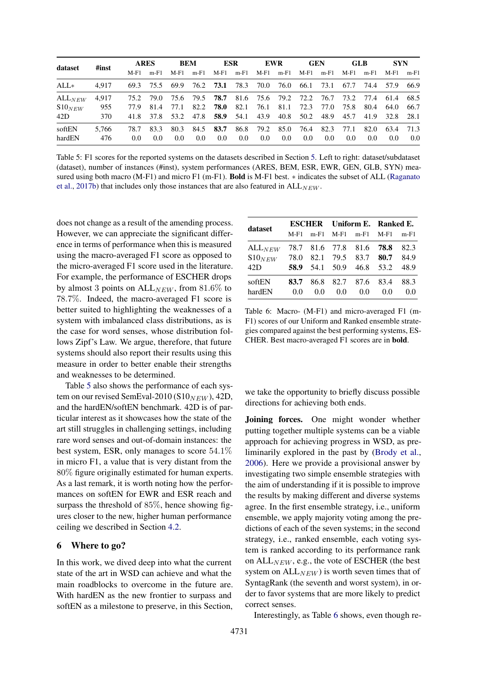<span id="page-7-0"></span>

| dataset     |       | <b>ARES</b> |        | <b>BEM</b>    |               | ESR                                            |           | <b>EWR</b>    |                | <b>GEN</b> |               | <b>GLB</b> |        | <b>SYN</b>    |        |
|-------------|-------|-------------|--------|---------------|---------------|------------------------------------------------|-----------|---------------|----------------|------------|---------------|------------|--------|---------------|--------|
|             | #inst | $M-F1$      | $m-F1$ | M-F1          | $m-F1$        | $M-F1$                                         | $m-F1$    | M-F1          | $m-F1$         | $M-F1$     | m-F1          | $M-F1$     | $m-F1$ | M-F1          | $m-F1$ |
| $ALL*$      | 4.917 | 69.3        | 75.5   | 69.9          |               | 76.2 <b>73.1</b> 78.3                          |           |               | 70.0 76.0 66.1 |            | 73.1          | 67.7       | 74.4   | 57.9          | -66.9  |
| $ALL_{NEW}$ | 4.917 | 75.2        | 79.0   |               |               | 75.6 79.5 <b>78.7</b> 81.6 75.6 79.2 72.2 76.7 |           |               |                |            |               | 73.2       | 77.4   | 61.4          | 68.5   |
| $S10_{NEW}$ | 955   | 77.9        | 81.4   | 77.1          | 82.2          | 78.0                                           | 82.1      | 76.1          | 81.1           | 72.3       | 77.0          | 75.8       | 80.4   | 64.0          | 66.7   |
| 42D         | 370   | 41.8        | 37.8   | 53.2          | 47.8          |                                                | 58.9 54.1 | 43.9          |                | 40.8 50.2  |               | 48.9 45.7  | 41.9   | 32.8 28.1     |        |
| softEN      | 5.766 | 78.7        | 83.3   | 80.3          | 84.5          | 83.7                                           | 86.8      | 79.2          | 85.0           | 76.4       | 82.3          | 77.1       | 82.0   | 63.4          | 71.3   |
| hardEN      | 476   | 0.0         | 0.0    | $0.0^{\circ}$ | $0.0^{\circ}$ | $0.0^{\circ}$                                  | 0.0       | $0.0^{\circ}$ | 0.0            | 0.0        | $0.0^{\circ}$ | 0.0        | 0.0    | $0.0^{\circ}$ | 0.0    |

Table 5: F1 scores for the reported systems on the datasets described in Section [5.](#page-6-4) Left to right: dataset/subdataset (dataset), number of instances (#inst), system performances (ARES, BEM, ESR, EWR, GEN, GLB, SYN) measured using both macro (M-F1) and micro F1 (m-F1). **Bold** is M-F1 best. \* indicates the subset of ALL [\(Raganato](#page-11-14) [et al.,](#page-11-14) [2017b\)](#page-11-14) that includes only those instances that are also featured in  $ALL_{NEW}$ .

does not change as a result of the amending process. However, we can appreciate the significant difference in terms of performance when this is measured using the macro-averaged F1 score as opposed to the micro-averaged F1 score used in the literature. For example, the performance of ESCHER drops by almost 3 points on  $ALL_{NEW}$ , from 81.6% to 78.7%. Indeed, the macro-averaged F1 score is better suited to highlighting the weaknesses of a system with imbalanced class distributions, as is the case for word senses, whose distribution follows Zipf's Law. We argue, therefore, that future systems should also report their results using this measure in order to better enable their strengths and weaknesses to be determined.

Table [5](#page-7-0) also shows the performance of each system on our revised SemEval-2010 (S10 $_{NEW}$ ), 42D, and the hardEN/softEN benchmark. 42D is of particular interest as it showcases how the state of the art still struggles in challenging settings, including rare word senses and out-of-domain instances: the best system, ESR, only manages to score 54.1% in micro F1, a value that is very distant from the 80% figure originally estimated for human experts. As a last remark, it is worth noting how the performances on softEN for EWR and ESR reach and surpass the threshold of 85%, hence showing figures closer to the new, higher human performance ceiling we described in Section [4.2.](#page-4-2)

### 6 Where to go?

In this work, we dived deep into what the current state of the art in WSD can achieve and what the main roadblocks to overcome in the future are. With hardEN as the new frontier to surpass and softEN as a milestone to preserve, in this Section,

<span id="page-7-1"></span>

| dataset     |        |     |     |                          | <b>ESCHER</b> Uniform E. Ranked E. |        |  |
|-------------|--------|-----|-----|--------------------------|------------------------------------|--------|--|
|             | $M-F1$ |     |     | m-F1 M-F1 m-F1 M-F1      |                                    | $m-F1$ |  |
| $ALL_{NEW}$ |        |     |     | 78.7 81.6 77.8 81.6 78.8 |                                    | 82.3   |  |
| $S10_{NEW}$ |        |     |     | 78.0 82.1 79.5 83.7 80.7 |                                    | 84.9   |  |
| 42D         |        |     |     | 58.9 54.1 50.9 46.8 53.2 |                                    | 48.9   |  |
| softEN      | 83.7   |     |     | 86.8 82.7 87.6 83.4      |                                    | 88.3   |  |
| hardEN      | 0.0    | 0.0 | 0.0 | 0.0                      | 0.0                                | 0.0    |  |

Table 6: Macro- (M-F1) and micro-averaged F1 (m-F1) scores of our Uniform and Ranked ensemble strategies compared against the best performing systems, ES-CHER. Best macro-averaged F1 scores are in bold.

we take the opportunity to briefly discuss possible directions for achieving both ends.

Joining forces. One might wonder whether putting together multiple systems can be a viable approach for achieving progress in WSD, as preliminarily explored in the past by [\(Brody et al.,](#page-9-14) [2006\)](#page-9-14). Here we provide a provisional answer by investigating two simple ensemble strategies with the aim of understanding if it is possible to improve the results by making different and diverse systems agree. In the first ensemble strategy, i.e., uniform ensemble, we apply majority voting among the predictions of each of the seven systems; in the second strategy, i.e., ranked ensemble, each voting system is ranked according to its performance rank on  $ALL_{NEW}$ , e.g., the vote of ESCHER (the best system on  $ALL_{NEW}$ ) is worth seven times that of SyntagRank (the seventh and worst system), in order to favor systems that are more likely to predict correct senses.

Interestingly, as Table [6](#page-7-1) shows, even though re-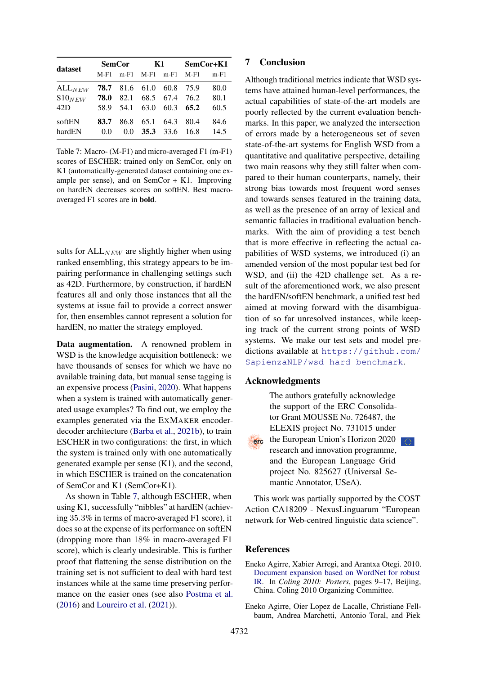<span id="page-8-2"></span>

| dataset     |        | <b>SemCor</b>         |        | K1     | SemCor+K1 |      |  |
|-------------|--------|-----------------------|--------|--------|-----------|------|--|
|             | $M-F1$ | $m-F1$                | $M-F1$ | $m-F1$ | $M-F1$    | m-F1 |  |
| $ALL_{NEW}$ |        | <b>78.7</b> 81.6 61.0 |        | 60.8   | 75.9      | 80.0 |  |
| $S10_{NEW}$ | 78.0   | 82.1                  | 68.5   | 67.4   | 76.2      | 80.1 |  |
| 42D         | 58.9   | 54.1                  | 63.0   | 60.3   | 65.2      | 60.5 |  |
| softEN      | 83.7   | 86.8                  | 65.1   | 64.3   | 80.4      | 84.6 |  |
| hardEN      | 0.0    | 0.0                   | 35.3   | 33.6   | 16.8      | 14.5 |  |

Table 7: Macro- (M-F1) and micro-averaged F1 (m-F1) scores of ESCHER: trained only on SemCor, only on K1 (automatically-generated dataset containing one example per sense), and on  $SemCor + K1$ . Improving on hardEN decreases scores on softEN. Best macroaveraged F1 scores are in bold.

sults for  $ALL_{NEW}$  are slightly higher when using ranked ensembling, this strategy appears to be impairing performance in challenging settings such as 42D. Furthermore, by construction, if hardEN features all and only those instances that all the systems at issue fail to provide a correct answer for, then ensembles cannot represent a solution for hardEN, no matter the strategy employed.

Data augmentation. A renowned problem in WSD is the knowledge acquisition bottleneck: we have thousands of senses for which we have no available training data, but manual sense tagging is an expensive process [\(Pasini,](#page-11-15) [2020\)](#page-11-15). What happens when a system is trained with automatically generated usage examples? To find out, we employ the examples generated via the EXMAKER encoderdecoder architecture [\(Barba et al.,](#page-9-15) [2021b\)](#page-9-15), to train ESCHER in two configurations: the first, in which the system is trained only with one automatically generated example per sense (K1), and the second, in which ESCHER is trained on the concatenation of SemCor and K1 (SemCor+K1).

As shown in Table [7,](#page-8-2) although ESCHER, when using K1, successfully "nibbles" at hardEN (achieving 35.3% in terms of macro-averaged F1 score), it does so at the expense of its performance on softEN (dropping more than 18% in macro-averaged F1 score), which is clearly undesirable. This is further proof that flattening the sense distribution on the training set is not sufficient to deal with hard test instances while at the same time preserving performance on the easier ones (see also [Postma et al.](#page-11-6) [\(2016\)](#page-11-6) and [Loureiro et al.](#page-10-6) [\(2021\)](#page-10-6)).

# 7 Conclusion

Although traditional metrics indicate that WSD systems have attained human-level performances, the actual capabilities of state-of-the-art models are poorly reflected by the current evaluation benchmarks. In this paper, we analyzed the intersection of errors made by a heterogeneous set of seven state-of-the-art systems for English WSD from a quantitative and qualitative perspective, detailing two main reasons why they still falter when compared to their human counterparts, namely, their strong bias towards most frequent word senses and towards senses featured in the training data, as well as the presence of an array of lexical and semantic fallacies in traditional evaluation benchmarks. With the aim of providing a test bench that is more effective in reflecting the actual capabilities of WSD systems, we introduced (i) an amended version of the most popular test bed for WSD, and (ii) the 42D challenge set. As a result of the aforementioned work, we also present the hardEN/softEN benchmark, a unified test bed aimed at moving forward with the disambiguation of so far unresolved instances, while keeping track of the current strong points of WSD systems. We make our test sets and model predictions available at [https://github.com/](https://github.com/SapienzaNLP/wsd-hard-benchmark) [SapienzaNLP/wsd-hard-benchmark](https://github.com/SapienzaNLP/wsd-hard-benchmark).

### Acknowledgments

The authors gratefully acknowledge the support of the ERC Consolidator Grant MOUSSE No. 726487, the ELEXIS project No. 731015 under the European Union's Horizon 2020 research and innovation programme, and the European Language Grid project No. 825627 (Universal Se-

This work was partially supported by the COST Action CA18209 - NexusLinguarum "European network for Web-centred linguistic data science".

mantic Annotator, USeA).

#### **References**

erc

- <span id="page-8-1"></span>Eneko Agirre, Xabier Arregi, and Arantxa Otegi. 2010. [Document expansion based on WordNet for robust](https://aclanthology.org/C10-2002) [IR.](https://aclanthology.org/C10-2002) In *Coling 2010: Posters*, pages 9–17, Beijing, China. Coling 2010 Organizing Committee.
- <span id="page-8-0"></span>Eneko Agirre, Oier Lopez de Lacalle, Christiane Fellbaum, Andrea Marchetti, Antonio Toral, and Piek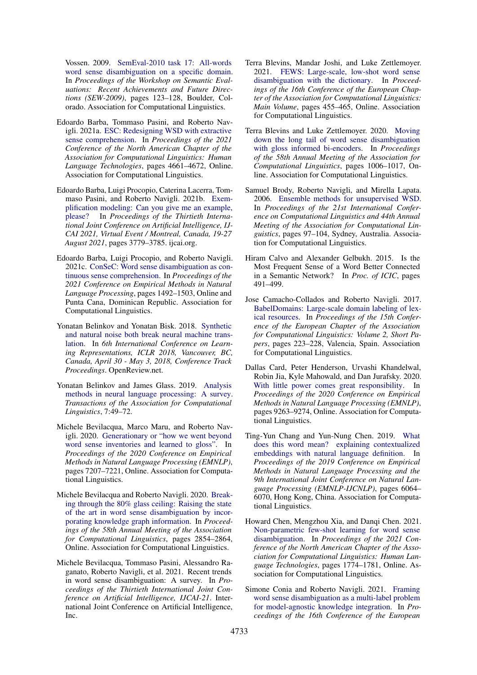Vossen. 2009. [SemEval-2010 task 17: All-words](https://aclanthology.org/W09-2420) [word sense disambiguation on a specific domain.](https://aclanthology.org/W09-2420) In *Proceedings of the Workshop on Semantic Evaluations: Recent Achievements and Future Directions (SEW-2009)*, pages 123–128, Boulder, Colorado. Association for Computational Linguistics.

- <span id="page-9-2"></span>Edoardo Barba, Tommaso Pasini, and Roberto Navigli. 2021a. [ESC: Redesigning WSD with extractive](https://doi.org/10.18653/v1/2021.naacl-main.371) [sense comprehension.](https://doi.org/10.18653/v1/2021.naacl-main.371) In *Proceedings of the 2021 Conference of the North American Chapter of the Association for Computational Linguistics: Human Language Technologies*, pages 4661–4672, Online. Association for Computational Linguistics.
- <span id="page-9-15"></span>Edoardo Barba, Luigi Procopio, Caterina Lacerra, Tommaso Pasini, and Roberto Navigli. 2021b. [Exem](https://doi.org/10.24963/ijcai.2021/520)[plification modeling: Can you give me an example,](https://doi.org/10.24963/ijcai.2021/520) please? In *Proceedings of the Thirtieth Interna-*In *Proceedings of the Thirtieth International Joint Conference on Artificial Intelligence, IJ-CAI 2021, Virtual Event / Montreal, Canada, 19-27 August 2021*, pages 3779–3785. ijcai.org.
- <span id="page-9-12"></span>Edoardo Barba, Luigi Procopio, and Roberto Navigli. 2021c. [ConSeC: Word sense disambiguation as con](https://doi.org/10.18653/v1/2021.emnlp-main.112)[tinuous sense comprehension.](https://doi.org/10.18653/v1/2021.emnlp-main.112) In *Proceedings of the 2021 Conference on Empirical Methods in Natural Language Processing*, pages 1492–1503, Online and Punta Cana, Dominican Republic. Association for Computational Linguistics.
- <span id="page-9-4"></span>Yonatan Belinkov and Yonatan Bisk. 2018. [Synthetic](https://openreview.net/forum?id=BJ8vJebC-) [and natural noise both break neural machine trans](https://openreview.net/forum?id=BJ8vJebC-)[lation.](https://openreview.net/forum?id=BJ8vJebC-) In *6th International Conference on Learning Representations, ICLR 2018, Vancouver, BC, Canada, April 30 - May 3, 2018, Conference Track Proceedings*. OpenReview.net.
- <span id="page-9-13"></span>Yonatan Belinkov and James Glass. 2019. [Analysis](https://doi.org/10.1162/tacl_a_00254) [methods in neural language processing: A survey.](https://doi.org/10.1162/tacl_a_00254) *Transactions of the Association for Computational Linguistics*, 7:49–72.
- <span id="page-9-7"></span>Michele Bevilacqua, Marco Maru, and Roberto Navigli. 2020. [Generationary or "how we went beyond](https://doi.org/10.18653/v1/2020.emnlp-main.585) [word sense inventories and learned to gloss".](https://doi.org/10.18653/v1/2020.emnlp-main.585) In *Proceedings of the 2020 Conference on Empirical Methods in Natural Language Processing (EMNLP)*, pages 7207–7221, Online. Association for Computational Linguistics.
- <span id="page-9-1"></span>Michele Bevilacqua and Roberto Navigli. 2020. [Break](https://doi.org/10.18653/v1/2020.acl-main.255)[ing through the 80% glass ceiling: Raising the state](https://doi.org/10.18653/v1/2020.acl-main.255) [of the art in word sense disambiguation by incor](https://doi.org/10.18653/v1/2020.acl-main.255)[porating knowledge graph information.](https://doi.org/10.18653/v1/2020.acl-main.255) In *Proceedings of the 58th Annual Meeting of the Association for Computational Linguistics*, pages 2854–2864, Online. Association for Computational Linguistics.
- <span id="page-9-0"></span>Michele Bevilacqua, Tommaso Pasini, Alessandro Raganato, Roberto Navigli, et al. 2021. Recent trends in word sense disambiguation: A survey. In *Proceedings of the Thirtieth International Joint Conference on Artificial Intelligence, IJCAI-21*. International Joint Conference on Artificial Intelligence, Inc.
- <span id="page-9-8"></span>Terra Blevins, Mandar Joshi, and Luke Zettlemoyer. 2021. [FEWS: Large-scale, low-shot word sense](https://aclanthology.org/2021.eacl-main.36) [disambiguation with the dictionary.](https://aclanthology.org/2021.eacl-main.36) In *Proceedings of the 16th Conference of the European Chapter of the Association for Computational Linguistics: Main Volume*, pages 455–465, Online. Association for Computational Linguistics.
- <span id="page-9-10"></span>Terra Blevins and Luke Zettlemoyer. 2020. [Moving](https://doi.org/10.18653/v1/2020.acl-main.95) [down the long tail of word sense disambiguation](https://doi.org/10.18653/v1/2020.acl-main.95) [with gloss informed bi-encoders.](https://doi.org/10.18653/v1/2020.acl-main.95) In *Proceedings of the 58th Annual Meeting of the Association for Computational Linguistics*, pages 1006–1017, Online. Association for Computational Linguistics.
- <span id="page-9-14"></span>Samuel Brody, Roberto Navigli, and Mirella Lapata. 2006. [Ensemble methods for unsupervised WSD.](https://doi.org/10.3115/1220175.1220188) In *Proceedings of the 21st International Conference on Computational Linguistics and 44th Annual Meeting of the Association for Computational Linguistics*, pages 97–104, Sydney, Australia. Association for Computational Linguistics.
- <span id="page-9-6"></span>Hiram Calvo and Alexander Gelbukh. 2015. Is the Most Frequent Sense of a Word Better Connected in a Semantic Network? In *Proc. of ICIC*, pages 491–499.
- <span id="page-9-16"></span>Jose Camacho-Collados and Roberto Navigli. 2017. [BabelDomains: Large-scale domain labeling of lex](https://aclanthology.org/E17-2036)[ical resources.](https://aclanthology.org/E17-2036) In *Proceedings of the 15th Conference of the European Chapter of the Association for Computational Linguistics: Volume 2, Short Papers*, pages 223–228, Valencia, Spain. Association for Computational Linguistics.
- <span id="page-9-5"></span>Dallas Card, Peter Henderson, Urvashi Khandelwal, Robin Jia, Kyle Mahowald, and Dan Jurafsky. 2020. [With little power comes great responsibility.](https://doi.org/10.18653/v1/2020.emnlp-main.745) In *Proceedings of the 2020 Conference on Empirical Methods in Natural Language Processing (EMNLP)*, pages 9263–9274, Online. Association for Computational Linguistics.
- <span id="page-9-11"></span>Ting-Yun Chang and Yun-Nung Chen. 2019. [What](https://doi.org/10.18653/v1/D19-1627) [does this word mean? explaining contextualized](https://doi.org/10.18653/v1/D19-1627) [embeddings with natural language definition.](https://doi.org/10.18653/v1/D19-1627) In *Proceedings of the 2019 Conference on Empirical Methods in Natural Language Processing and the 9th International Joint Conference on Natural Language Processing (EMNLP-IJCNLP)*, pages 6064– 6070, Hong Kong, China. Association for Computational Linguistics.
- <span id="page-9-9"></span>Howard Chen, Mengzhou Xia, and Danqi Chen. 2021. [Non-parametric few-shot learning for word sense](https://doi.org/10.18653/v1/2021.naacl-main.142) [disambiguation.](https://doi.org/10.18653/v1/2021.naacl-main.142) In *Proceedings of the 2021 Conference of the North American Chapter of the Association for Computational Linguistics: Human Language Technologies*, pages 1774–1781, Online. Association for Computational Linguistics.
- <span id="page-9-3"></span>Simone Conia and Roberto Navigli. 2021. [Framing](https://aclanthology.org/2021.eacl-main.286) [word sense disambiguation as a multi-label problem](https://aclanthology.org/2021.eacl-main.286) [for model-agnostic knowledge integration.](https://aclanthology.org/2021.eacl-main.286) In *Proceedings of the 16th Conference of the European*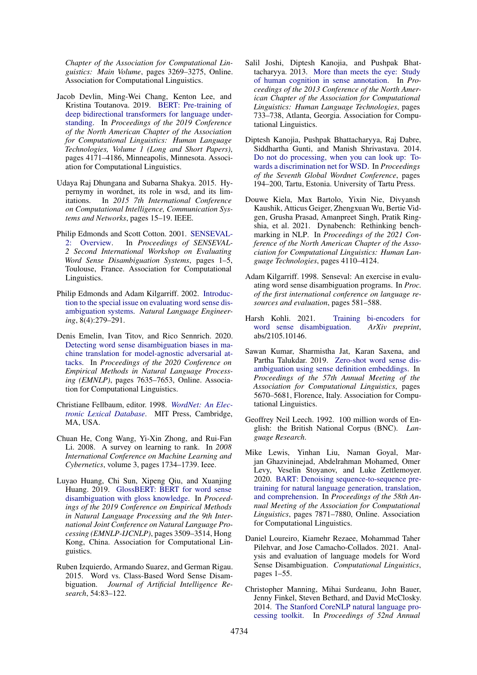*Chapter of the Association for Computational Linguistics: Main Volume*, pages 3269–3275, Online. Association for Computational Linguistics.

- <span id="page-10-0"></span>Jacob Devlin, Ming-Wei Chang, Kenton Lee, and Kristina Toutanova. 2019. [BERT: Pre-training of](https://doi.org/10.18653/v1/N19-1423) [deep bidirectional transformers for language under](https://doi.org/10.18653/v1/N19-1423)[standing.](https://doi.org/10.18653/v1/N19-1423) In *Proceedings of the 2019 Conference of the North American Chapter of the Association for Computational Linguistics: Human Language Technologies, Volume 1 (Long and Short Papers)*, pages 4171–4186, Minneapolis, Minnesota. Association for Computational Linguistics.
- <span id="page-10-18"></span>Udaya Raj Dhungana and Subarna Shakya. 2015. Hypernymy in wordnet, its role in wsd, and its limitations. In *2015 7th International Conference on Computational Intelligence, Communication Systems and Networks*, pages 15–19. IEEE.
- <span id="page-10-9"></span>Philip Edmonds and Scott Cotton. 2001. [SENSEVAL-](https://aclanthology.org/S01-1001)[2: Overview.](https://aclanthology.org/S01-1001) In *Proceedings of SENSEVAL-2 Second International Workshop on Evaluating Word Sense Disambiguation Systems*, pages 1–5, Toulouse, France. Association for Computational Linguistics.
- <span id="page-10-3"></span>Philip Edmonds and Adam Kilgarriff. 2002. [Introduc](https://www.cambridge.org/core/journals/natural-language-engineering/article/introduction-to-the-special-issue-on-evaluating-word-sense-disambiguation-systems/C224DC1AB1F2864684500F26ACB725F3)[tion to the special issue on evaluating word sense dis](https://www.cambridge.org/core/journals/natural-language-engineering/article/introduction-to-the-special-issue-on-evaluating-word-sense-disambiguation-systems/C224DC1AB1F2864684500F26ACB725F3)[ambiguation systems.](https://www.cambridge.org/core/journals/natural-language-engineering/article/introduction-to-the-special-issue-on-evaluating-word-sense-disambiguation-systems/C224DC1AB1F2864684500F26ACB725F3) *Natural Language Engineering*, 8(4):279–291.
- <span id="page-10-5"></span>Denis Emelin, Ivan Titov, and Rico Sennrich. 2020. [Detecting word sense disambiguation biases in ma](https://doi.org/10.18653/v1/2020.emnlp-main.616)[chine translation for model-agnostic adversarial at](https://doi.org/10.18653/v1/2020.emnlp-main.616)[tacks.](https://doi.org/10.18653/v1/2020.emnlp-main.616) In *Proceedings of the 2020 Conference on Empirical Methods in Natural Language Processing (EMNLP)*, pages 7635–7653, Online. Association for Computational Linguistics.
- <span id="page-10-7"></span>Christiane Fellbaum, editor. 1998. *[WordNet: An Elec](https://doi.org/10.1017/S0142716401221079)[tronic Lexical Database](https://doi.org/10.1017/S0142716401221079)*. MIT Press, Cambridge, MA, USA.
- <span id="page-10-13"></span>Chuan He, Cong Wang, Yi-Xin Zhong, and Rui-Fan Li. 2008. A survey on learning to rank. In *2008 International Conference on Machine Learning and Cybernetics*, volume 3, pages 1734–1739. Ieee.
- <span id="page-10-12"></span>Luyao Huang, Chi Sun, Xipeng Qiu, and Xuanjing Huang. 2019. [GlossBERT: BERT for word sense](https://doi.org/10.18653/v1/D19-1355) [disambiguation with gloss knowledge.](https://doi.org/10.18653/v1/D19-1355) In *Proceedings of the 2019 Conference on Empirical Methods in Natural Language Processing and the 9th International Joint Conference on Natural Language Processing (EMNLP-IJCNLP)*, pages 3509–3514, Hong Kong, China. Association for Computational Linguistics.
- <span id="page-10-10"></span>Ruben Izquierdo, Armando Suarez, and German Rigau. 2015. Word vs. Class-Based Word Sense Disambiguation. *Journal of Artificial Intelligence Research*, 54:83–122.
- <span id="page-10-16"></span>Salil Joshi, Diptesh Kanojia, and Pushpak Bhattacharyya. 2013. [More than meets the eye: Study](https://aclanthology.org/N13-1088) [of human cognition in sense annotation.](https://aclanthology.org/N13-1088) In *Proceedings of the 2013 Conference of the North American Chapter of the Association for Computational Linguistics: Human Language Technologies*, pages 733–738, Atlanta, Georgia. Association for Computational Linguistics.
- <span id="page-10-17"></span>Diptesh Kanojia, Pushpak Bhattacharyya, Raj Dabre, Siddhartha Gunti, and Manish Shrivastava. 2014. [Do not do processing, when you can look up: To](https://aclanthology.org/W14-0126)[wards a discrimination net for WSD.](https://aclanthology.org/W14-0126) In *Proceedings of the Seventh Global Wordnet Conference*, pages 194–200, Tartu, Estonia. University of Tartu Press.
- <span id="page-10-4"></span>Douwe Kiela, Max Bartolo, Yixin Nie, Divyansh Kaushik, Atticus Geiger, Zhengxuan Wu, Bertie Vidgen, Grusha Prasad, Amanpreet Singh, Pratik Ringshia, et al. 2021. Dynabench: Rethinking benchmarking in NLP. In *Proceedings of the 2021 Conference of the North American Chapter of the Association for Computational Linguistics: Human Language Technologies*, pages 4110–4124.
- <span id="page-10-8"></span>Adam Kilgarriff. 1998. Senseval: An exercise in evaluating word sense disambiguation programs. In *Proc. of the first international conference on language resources and evaluation*, pages 581–588.
- <span id="page-10-2"></span>Harsh Kohli. 2021. [Training bi-encoders for](https://arxiv.org/abs/2105.10146) [word sense disambiguation.](https://arxiv.org/abs/2105.10146) *ArXiv preprint*, abs/2105.10146.
- <span id="page-10-11"></span>Sawan Kumar, Sharmistha Jat, Karan Saxena, and Partha Talukdar. 2019. [Zero-shot word sense dis](https://doi.org/10.18653/v1/P19-1568)[ambiguation using sense definition embeddings.](https://doi.org/10.18653/v1/P19-1568) In *Proceedings of the 57th Annual Meeting of the Association for Computational Linguistics*, pages 5670–5681, Florence, Italy. Association for Computational Linguistics.
- <span id="page-10-14"></span>Geoffrey Neil Leech. 1992. 100 million words of English: the British National Corpus (BNC). *Language Research*.
- <span id="page-10-1"></span>Mike Lewis, Yinhan Liu, Naman Goyal, Marjan Ghazvininejad, Abdelrahman Mohamed, Omer Levy, Veselin Stoyanov, and Luke Zettlemoyer. 2020. [BART: Denoising sequence-to-sequence pre](https://doi.org/10.18653/v1/2020.acl-main.703)[training for natural language generation, translation,](https://doi.org/10.18653/v1/2020.acl-main.703) [and comprehension.](https://doi.org/10.18653/v1/2020.acl-main.703) In *Proceedings of the 58th Annual Meeting of the Association for Computational Linguistics*, pages 7871–7880, Online. Association for Computational Linguistics.
- <span id="page-10-6"></span>Daniel Loureiro, Kiamehr Rezaee, Mohammad Taher Pilehvar, and Jose Camacho-Collados. 2021. Analysis and evaluation of language models for Word Sense Disambiguation. *Computational Linguistics*, pages 1–55.
- <span id="page-10-15"></span>Christopher Manning, Mihai Surdeanu, John Bauer, Jenny Finkel, Steven Bethard, and David McClosky. 2014. [The Stanford CoreNLP natural language pro](https://doi.org/10.3115/v1/P14-5010)[cessing toolkit.](https://doi.org/10.3115/v1/P14-5010) In *Proceedings of 52nd Annual*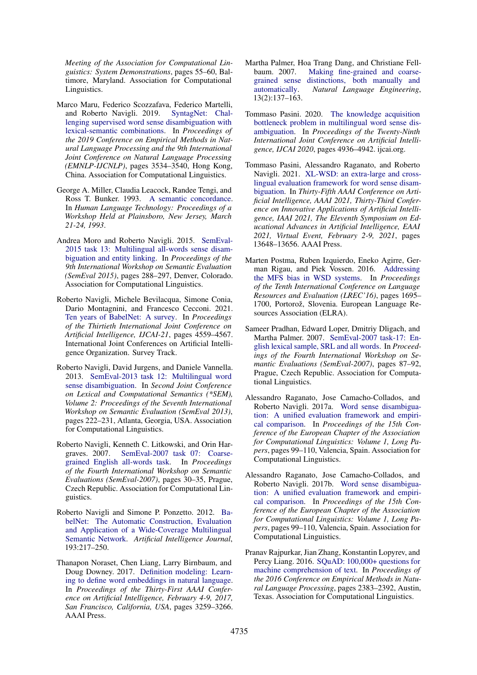*Meeting of the Association for Computational Linguistics: System Demonstrations*, pages 55–60, Baltimore, Maryland. Association for Computational Linguistics.

- <span id="page-11-10"></span>Marco Maru, Federico Scozzafava, Federico Martelli, and Roberto Navigli. 2019. [SyntagNet: Chal](https://doi.org/10.18653/v1/D19-1359)[lenging supervised word sense disambiguation with](https://doi.org/10.18653/v1/D19-1359) [lexical-semantic combinations.](https://doi.org/10.18653/v1/D19-1359) In *Proceedings of the 2019 Conference on Empirical Methods in Natural Language Processing and the 9th International Joint Conference on Natural Language Processing (EMNLP-IJCNLP)*, pages 3534–3540, Hong Kong, China. Association for Computational Linguistics.
- <span id="page-11-9"></span>George A. Miller, Claudia Leacock, Randee Tengi, and Ross T. Bunker. 1993. [A semantic concordance.](https://aclanthology.org/H93-1061) In *Human Language Technology: Proceedings of a Workshop Held at Plainsboro, New Jersey, March 21-24, 1993*.
- <span id="page-11-4"></span>Andrea Moro and Roberto Navigli. 2015. [SemEval-](https://doi.org/10.18653/v1/S15-2049)[2015 task 13: Multilingual all-words sense disam](https://doi.org/10.18653/v1/S15-2049)[biguation and entity linking.](https://doi.org/10.18653/v1/S15-2049) In *Proceedings of the 9th International Workshop on Semantic Evaluation (SemEval 2015)*, pages 288–297, Denver, Colorado. Association for Computational Linguistics.
- <span id="page-11-13"></span>Roberto Navigli, Michele Bevilacqua, Simone Conia, Dario Montagnini, and Francesco Cecconi. 2021. [Ten years of BabelNet: A survey.](https://doi.org/10.24963/ijcai.2021/620) In *Proceedings of the Thirtieth International Joint Conference on Artificial Intelligence, IJCAI-21*, pages 4559–4567. International Joint Conferences on Artificial Intelligence Organization. Survey Track.
- <span id="page-11-2"></span>Roberto Navigli, David Jurgens, and Daniele Vannella. 2013. [SemEval-2013 task 12: Multilingual word](https://aclanthology.org/S13-2040) [sense disambiguation.](https://aclanthology.org/S13-2040) In *Second Joint Conference on Lexical and Computational Semantics (\*SEM), Volume 2: Proceedings of the Seventh International Workshop on Semantic Evaluation (SemEval 2013)*, pages 222–231, Atlanta, Georgia, USA. Association for Computational Linguistics.
- <span id="page-11-0"></span>Roberto Navigli, Kenneth C. Litkowski, and Orin Hargraves. 2007. [SemEval-2007 task 07: Coarse](https://aclanthology.org/S07-1006)[grained English all-words task.](https://aclanthology.org/S07-1006) In *Proceedings of the Fourth International Workshop on Semantic Evaluations (SemEval-2007)*, pages 30–35, Prague, Czech Republic. Association for Computational Linguistics.
- <span id="page-11-12"></span>Roberto Navigli and Simone P. Ponzetto. 2012. [Ba](https://doi.org/10.1016/j.artint.2012.07.001)[belNet: The Automatic Construction, Evaluation](https://doi.org/10.1016/j.artint.2012.07.001) [and Application of a Wide-Coverage Multilingual](https://doi.org/10.1016/j.artint.2012.07.001) [Semantic Network.](https://doi.org/10.1016/j.artint.2012.07.001) *Artificial Intelligence Journal*, 193:217–250.
- <span id="page-11-8"></span>Thanapon Noraset, Chen Liang, Larry Birnbaum, and Doug Downey. 2017. [Definition modeling: Learn](http://aaai.org/ocs/index.php/AAAI/AAAI17/paper/view/14827)[ing to define word embeddings in natural language.](http://aaai.org/ocs/index.php/AAAI/AAAI17/paper/view/14827) In *Proceedings of the Thirty-First AAAI Conference on Artificial Intelligence, February 4-9, 2017, San Francisco, California, USA*, pages 3259–3266. AAAI Press.
- <span id="page-11-1"></span>Martha Palmer, Hoa Trang Dang, and Christiane Fellbaum. 2007. [Making fine-grained and coarse](https://www.cambridge.org/core/journals/natural-language-engineering/article/making-finegrained-and-coarsegrained-sense-distinctions-both-manually-and-automatically/07B0797208E3847AAF734F67BEEB9E72)[grained sense distinctions, both manually and](https://www.cambridge.org/core/journals/natural-language-engineering/article/making-finegrained-and-coarsegrained-sense-distinctions-both-manually-and-automatically/07B0797208E3847AAF734F67BEEB9E72) [automatically.](https://www.cambridge.org/core/journals/natural-language-engineering/article/making-finegrained-and-coarsegrained-sense-distinctions-both-manually-and-automatically/07B0797208E3847AAF734F67BEEB9E72) *Natural Language Engineering*, 13(2):137–163.
- <span id="page-11-15"></span>Tommaso Pasini. 2020. [The knowledge acquisition](https://doi.org/10.24963/ijcai.2020/687) [bottleneck problem in multilingual word sense dis](https://doi.org/10.24963/ijcai.2020/687)[ambiguation.](https://doi.org/10.24963/ijcai.2020/687) In *Proceedings of the Twenty-Ninth International Joint Conference on Artificial Intelligence, IJCAI 2020*, pages 4936–4942. ijcai.org.
- <span id="page-11-11"></span>Tommaso Pasini, Alessandro Raganato, and Roberto Navigli. 2021. [XL-WSD: an extra-large and cross](https://ojs.aaai.org/index.php/AAAI/article/view/17609)[lingual evaluation framework for word sense disam](https://ojs.aaai.org/index.php/AAAI/article/view/17609)[biguation.](https://ojs.aaai.org/index.php/AAAI/article/view/17609) In *Thirty-Fifth AAAI Conference on Artificial Intelligence, AAAI 2021, Thirty-Third Conference on Innovative Applications of Artificial Intelligence, IAAI 2021, The Eleventh Symposium on Educational Advances in Artificial Intelligence, EAAI 2021, Virtual Event, February 2-9, 2021*, pages 13648–13656. AAAI Press.
- <span id="page-11-6"></span>Marten Postma, Ruben Izquierdo, Eneko Agirre, German Rigau, and Piek Vossen. 2016. [Addressing](https://aclanthology.org/L16-1268) [the MFS bias in WSD systems.](https://aclanthology.org/L16-1268) In *Proceedings of the Tenth International Conference on Language Resources and Evaluation (LREC'16)*, pages 1695– 1700, Portorož, Slovenia. European Language Resources Association (ELRA).
- <span id="page-11-5"></span>Sameer Pradhan, Edward Loper, Dmitriy Dligach, and Martha Palmer. 2007. [SemEval-2007 task-17: En](https://aclanthology.org/S07-1016)[glish lexical sample, SRL and all words.](https://aclanthology.org/S07-1016) In *Proceedings of the Fourth International Workshop on Semantic Evaluations (SemEval-2007)*, pages 87–92, Prague, Czech Republic. Association for Computational Linguistics.
- <span id="page-11-3"></span>Alessandro Raganato, Jose Camacho-Collados, and Roberto Navigli. 2017a. [Word sense disambigua](https://aclanthology.org/E17-1010)[tion: A unified evaluation framework and empiri](https://aclanthology.org/E17-1010)[cal comparison.](https://aclanthology.org/E17-1010) In *Proceedings of the 15th Conference of the European Chapter of the Association for Computational Linguistics: Volume 1, Long Papers*, pages 99–110, Valencia, Spain. Association for Computational Linguistics.
- <span id="page-11-14"></span>Alessandro Raganato, Jose Camacho-Collados, and Roberto Navigli. 2017b. [Word sense disambigua](https://aclanthology.org/E17-1010)[tion: A unified evaluation framework and empiri](https://aclanthology.org/E17-1010)[cal comparison.](https://aclanthology.org/E17-1010) In *Proceedings of the 15th Conference of the European Chapter of the Association for Computational Linguistics: Volume 1, Long Papers*, pages 99–110, Valencia, Spain. Association for Computational Linguistics.
- <span id="page-11-7"></span>Pranav Rajpurkar, Jian Zhang, Konstantin Lopyrev, and Percy Liang. 2016. [SQuAD: 100,000+ questions for](https://doi.org/10.18653/v1/D16-1264) [machine comprehension of text.](https://doi.org/10.18653/v1/D16-1264) In *Proceedings of the 2016 Conference on Empirical Methods in Natural Language Processing*, pages 2383–2392, Austin, Texas. Association for Computational Linguistics.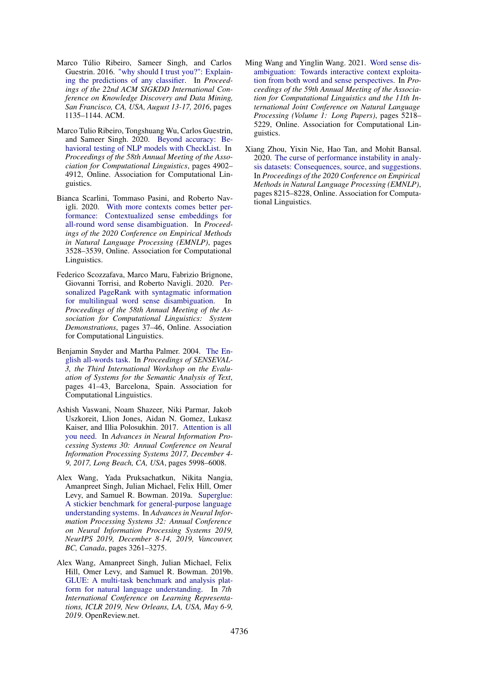- <span id="page-12-3"></span>Marco Túlio Ribeiro, Sameer Singh, and Carlos Guestrin. 2016. ["why should I trust you?": Explain](https://doi.org/10.1145/2939672.2939778)[ing the predictions of any classifier.](https://doi.org/10.1145/2939672.2939778) In *Proceedings of the 22nd ACM SIGKDD International Conference on Knowledge Discovery and Data Mining, San Francisco, CA, USA, August 13-17, 2016*, pages 1135–1144. ACM.
- <span id="page-12-4"></span>Marco Tulio Ribeiro, Tongshuang Wu, Carlos Guestrin, and Sameer Singh. 2020. [Beyond accuracy: Be](https://doi.org/10.18653/v1/2020.acl-main.442)[havioral testing of NLP models with CheckList.](https://doi.org/10.18653/v1/2020.acl-main.442) In *Proceedings of the 58th Annual Meeting of the Association for Computational Linguistics*, pages 4902– 4912, Online. Association for Computational Linguistics.
- <span id="page-12-9"></span>Bianca Scarlini, Tommaso Pasini, and Roberto Navigli. 2020. [With more contexts comes better per](https://doi.org/10.18653/v1/2020.emnlp-main.285)[formance: Contextualized sense embeddings for](https://doi.org/10.18653/v1/2020.emnlp-main.285) [all-round word sense disambiguation.](https://doi.org/10.18653/v1/2020.emnlp-main.285) In *Proceedings of the 2020 Conference on Empirical Methods in Natural Language Processing (EMNLP)*, pages 3528–3539, Online. Association for Computational Linguistics.
- <span id="page-12-8"></span>Federico Scozzafava, Marco Maru, Fabrizio Brignone, Giovanni Torrisi, and Roberto Navigli. 2020. [Per](https://doi.org/10.18653/v1/2020.acl-demos.6)[sonalized PageRank with syntagmatic information](https://doi.org/10.18653/v1/2020.acl-demos.6) [for multilingual word sense disambiguation.](https://doi.org/10.18653/v1/2020.acl-demos.6) In *Proceedings of the 58th Annual Meeting of the Association for Computational Linguistics: System Demonstrations*, pages 37–46, Online. Association for Computational Linguistics.
- <span id="page-12-6"></span>Benjamin Snyder and Martha Palmer. 2004. [The En](https://aclanthology.org/W04-0811)[glish all-words task.](https://aclanthology.org/W04-0811) In *Proceedings of SENSEVAL-3, the Third International Workshop on the Evaluation of Systems for the Semantic Analysis of Text*, pages 41–43, Barcelona, Spain. Association for Computational Linguistics.
- <span id="page-12-0"></span>Ashish Vaswani, Noam Shazeer, Niki Parmar, Jakob Uszkoreit, Llion Jones, Aidan N. Gomez, Lukasz Kaiser, and Illia Polosukhin. 2017. [Attention is all](https://proceedings.neurips.cc/paper/2017/hash/3f5ee243547dee91fbd053c1c4a845aa-Abstract.html) [you need.](https://proceedings.neurips.cc/paper/2017/hash/3f5ee243547dee91fbd053c1c4a845aa-Abstract.html) In *Advances in Neural Information Processing Systems 30: Annual Conference on Neural Information Processing Systems 2017, December 4- 9, 2017, Long Beach, CA, USA*, pages 5998–6008.
- <span id="page-12-2"></span>Alex Wang, Yada Pruksachatkun, Nikita Nangia, Amanpreet Singh, Julian Michael, Felix Hill, Omer Levy, and Samuel R. Bowman. 2019a. [Superglue:](https://proceedings.neurips.cc/paper/2019/hash/4496bf24afe7fab6f046bf4923da8de6-Abstract.html) [A stickier benchmark for general-purpose language](https://proceedings.neurips.cc/paper/2019/hash/4496bf24afe7fab6f046bf4923da8de6-Abstract.html) [understanding systems.](https://proceedings.neurips.cc/paper/2019/hash/4496bf24afe7fab6f046bf4923da8de6-Abstract.html) In *Advances in Neural Information Processing Systems 32: Annual Conference on Neural Information Processing Systems 2019, NeurIPS 2019, December 8-14, 2019, Vancouver, BC, Canada*, pages 3261–3275.
- <span id="page-12-1"></span>Alex Wang, Amanpreet Singh, Julian Michael, Felix Hill, Omer Levy, and Samuel R. Bowman. 2019b. [GLUE: A multi-task benchmark and analysis plat](https://openreview.net/forum?id=rJ4km2R5t7)[form for natural language understanding.](https://openreview.net/forum?id=rJ4km2R5t7) In *7th International Conference on Learning Representations, ICLR 2019, New Orleans, LA, USA, May 6-9, 2019*. OpenReview.net.
- <span id="page-12-7"></span>Ming Wang and Yinglin Wang. 2021. [Word sense dis](https://doi.org/10.18653/v1/2021.acl-long.406)[ambiguation: Towards interactive context exploita](https://doi.org/10.18653/v1/2021.acl-long.406)[tion from both word and sense perspectives.](https://doi.org/10.18653/v1/2021.acl-long.406) In *Proceedings of the 59th Annual Meeting of the Association for Computational Linguistics and the 11th International Joint Conference on Natural Language Processing (Volume 1: Long Papers)*, pages 5218– 5229, Online. Association for Computational Linguistics.
- <span id="page-12-5"></span>Xiang Zhou, Yixin Nie, Hao Tan, and Mohit Bansal. 2020. [The curse of performance instability in analy](https://doi.org/10.18653/v1/2020.emnlp-main.659)[sis datasets: Consequences, source, and suggestions.](https://doi.org/10.18653/v1/2020.emnlp-main.659) In *Proceedings of the 2020 Conference on Empirical Methods in Natural Language Processing (EMNLP)*, pages 8215–8228, Online. Association for Computational Linguistics.